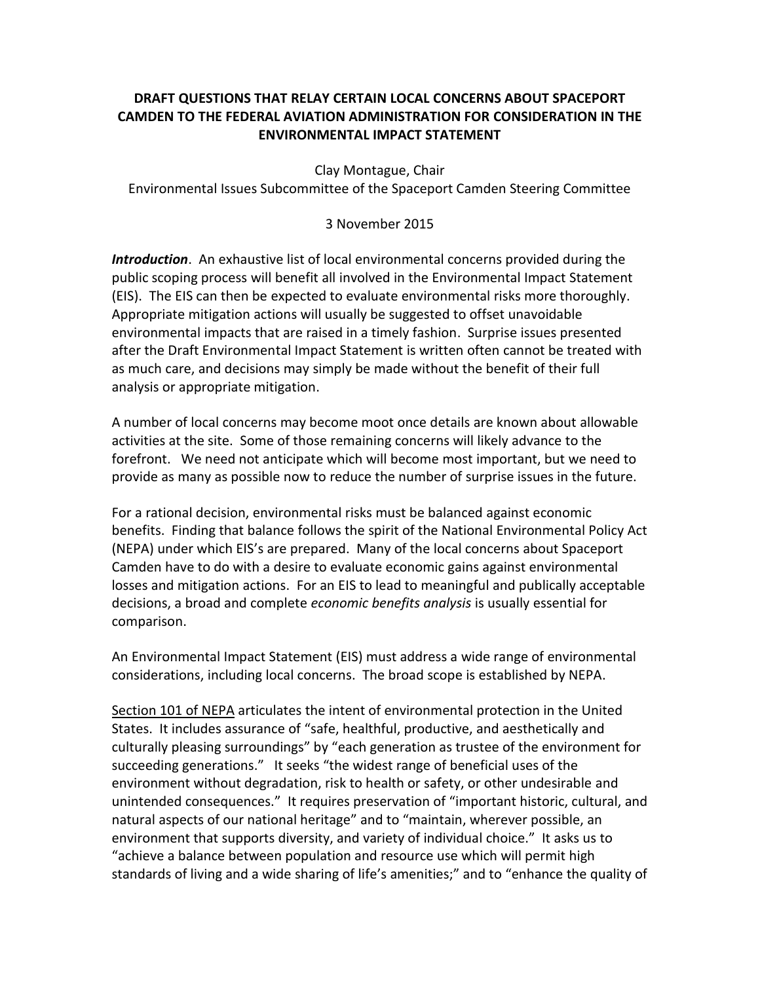## **DRAFT QUESTIONS THAT RELAY CERTAIN LOCAL CONCERNS ABOUT SPACEPORT CAMDEN TO THE FEDERAL AVIATION ADMINISTRATION FOR CONSIDERATION IN THE ENVIRONMENTAL IMPACT STATEMENT**

Clay Montague, Chair

Environmental Issues Subcommittee of the Spaceport Camden Steering Committee

## 3 November 2015

*Introduction*. An exhaustive list of local environmental concerns provided during the public scoping process will benefit all involved in the Environmental Impact Statement (EIS). The EIS can then be expected to evaluate environmental risks more thoroughly. Appropriate mitigation actions will usually be suggested to offset unavoidable environmental impacts that are raised in a timely fashion. Surprise issues presented after the Draft Environmental Impact Statement is written often cannot be treated with as much care, and decisions may simply be made without the benefit of their full analysis or appropriate mitigation.

A number of local concerns may become moot once details are known about allowable activities at the site. Some of those remaining concerns will likely advance to the forefront. We need not anticipate which will become most important, but we need to provide as many as possible now to reduce the number of surprise issues in the future.

For a rational decision, environmental risks must be balanced against economic benefits. Finding that balance follows the spirit of the National Environmental Policy Act (NEPA) under which EIS's are prepared. Many of the local concerns about Spaceport Camden have to do with a desire to evaluate economic gains against environmental losses and mitigation actions. For an EIS to lead to meaningful and publically acceptable decisions, a broad and complete *economic benefits analysis* is usually essential for comparison.

An Environmental Impact Statement (EIS) must address a wide range of environmental considerations, including local concerns. The broad scope is established by NEPA.

Section 101 of NEPA articulates the intent of environmental protection in the United States. It includes assurance of "safe, healthful, productive, and aesthetically and culturally pleasing surroundings" by "each generation as trustee of the environment for succeeding generations." It seeks "the widest range of beneficial uses of the environment without degradation, risk to health or safety, or other undesirable and unintended consequences." It requires preservation of "important historic, cultural, and natural aspects of our national heritage" and to "maintain, wherever possible, an environment that supports diversity, and variety of individual choice." It asks us to "achieve a balance between population and resource use which will permit high standards of living and a wide sharing of life's amenities;" and to "enhance the quality of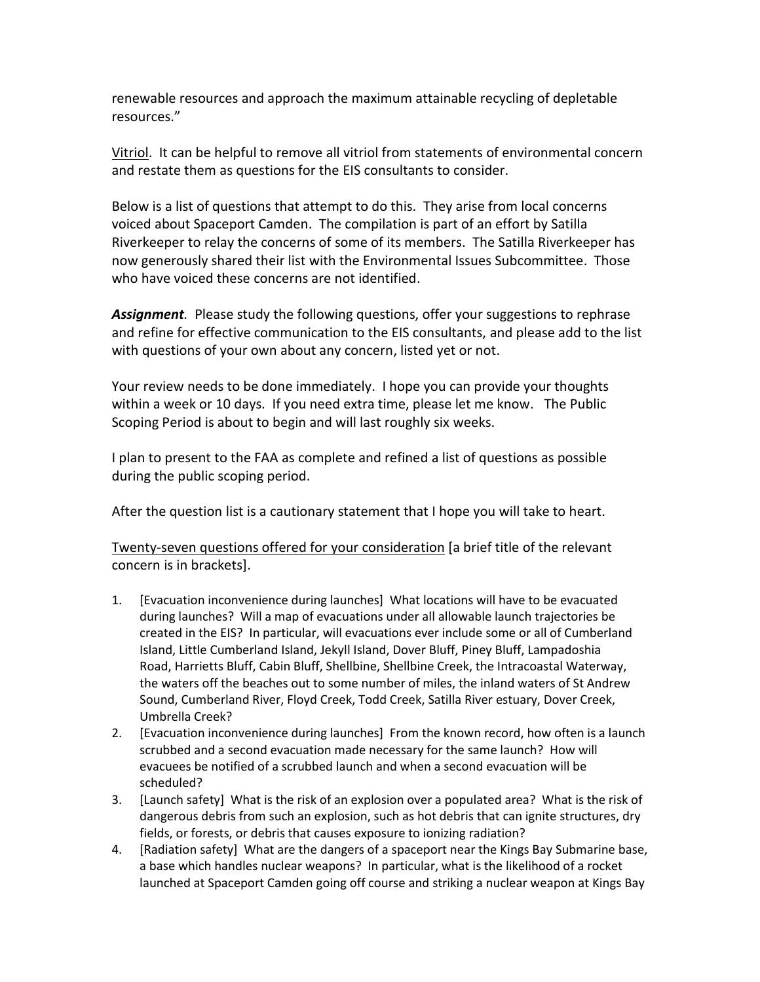renewable resources and approach the maximum attainable recycling of depletable resources."

Vitriol. It can be helpful to remove all vitriol from statements of environmental concern and restate them as questions for the EIS consultants to consider.

Below is a list of questions that attempt to do this. They arise from local concerns voiced about Spaceport Camden. The compilation is part of an effort by Satilla Riverkeeper to relay the concerns of some of its members. The Satilla Riverkeeper has now generously shared their list with the Environmental Issues Subcommittee. Those who have voiced these concerns are not identified.

*Assignment.* Please study the following questions, offer your suggestions to rephrase and refine for effective communication to the EIS consultants, and please add to the list with questions of your own about any concern, listed yet or not.

Your review needs to be done immediately. I hope you can provide your thoughts within a week or 10 days. If you need extra time, please let me know. The Public Scoping Period is about to begin and will last roughly six weeks.

I plan to present to the FAA as complete and refined a list of questions as possible during the public scoping period.

After the question list is a cautionary statement that I hope you will take to heart.

Twenty-seven questions offered for your consideration [a brief title of the relevant concern is in brackets].

- 1. [Evacuation inconvenience during launches] What locations will have to be evacuated during launches? Will a map of evacuations under all allowable launch trajectories be created in the EIS? In particular, will evacuations ever include some or all of Cumberland Island, Little Cumberland Island, Jekyll Island, Dover Bluff, Piney Bluff, Lampadoshia Road, Harrietts Bluff, Cabin Bluff, Shellbine, Shellbine Creek, the Intracoastal Waterway, the waters off the beaches out to some number of miles, the inland waters of St Andrew Sound, Cumberland River, Floyd Creek, Todd Creek, Satilla River estuary, Dover Creek, Umbrella Creek?
- 2. [Evacuation inconvenience during launches] From the known record, how often is a launch scrubbed and a second evacuation made necessary for the same launch? How will evacuees be notified of a scrubbed launch and when a second evacuation will be scheduled?
- 3. [Launch safety] What is the risk of an explosion over a populated area? What is the risk of dangerous debris from such an explosion, such as hot debris that can ignite structures, dry fields, or forests, or debris that causes exposure to ionizing radiation?
- 4. [Radiation safety] What are the dangers of a spaceport near the Kings Bay Submarine base, a base which handles nuclear weapons? In particular, what is the likelihood of a rocket launched at Spaceport Camden going off course and striking a nuclear weapon at Kings Bay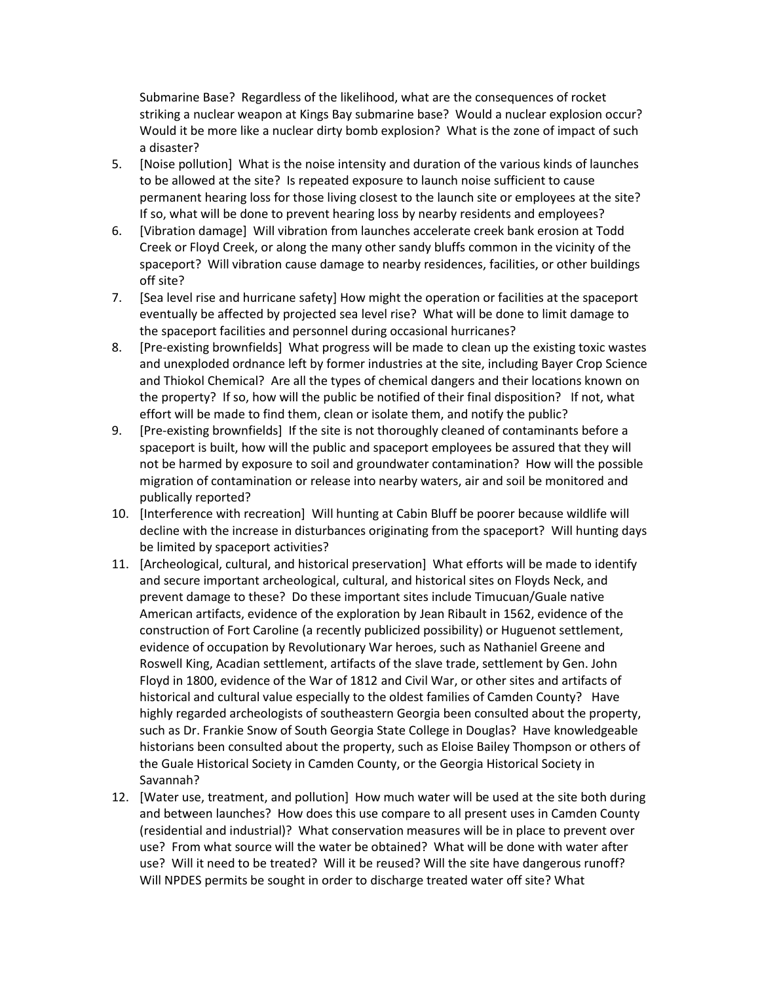Submarine Base? Regardless of the likelihood, what are the consequences of rocket striking a nuclear weapon at Kings Bay submarine base? Would a nuclear explosion occur? Would it be more like a nuclear dirty bomb explosion? What is the zone of impact of such a disaster?

- 5. [Noise pollution] What is the noise intensity and duration of the various kinds of launches to be allowed at the site? Is repeated exposure to launch noise sufficient to cause permanent hearing loss for those living closest to the launch site or employees at the site? If so, what will be done to prevent hearing loss by nearby residents and employees?
- 6. [Vibration damage] Will vibration from launches accelerate creek bank erosion at Todd Creek or Floyd Creek, or along the many other sandy bluffs common in the vicinity of the spaceport? Will vibration cause damage to nearby residences, facilities, or other buildings off site?
- 7. [Sea level rise and hurricane safety] How might the operation or facilities at the spaceport eventually be affected by projected sea level rise? What will be done to limit damage to the spaceport facilities and personnel during occasional hurricanes?
- 8. [Pre-existing brownfields] What progress will be made to clean up the existing toxic wastes and unexploded ordnance left by former industries at the site, including Bayer Crop Science and Thiokol Chemical? Are all the types of chemical dangers and their locations known on the property? If so, how will the public be notified of their final disposition? If not, what effort will be made to find them, clean or isolate them, and notify the public?
- 9. [Pre-existing brownfields] If the site is not thoroughly cleaned of contaminants before a spaceport is built, how will the public and spaceport employees be assured that they will not be harmed by exposure to soil and groundwater contamination? How will the possible migration of contamination or release into nearby waters, air and soil be monitored and publically reported?
- 10. [Interference with recreation] Will hunting at Cabin Bluff be poorer because wildlife will decline with the increase in disturbances originating from the spaceport? Will hunting days be limited by spaceport activities?
- 11. [Archeological, cultural, and historical preservation] What efforts will be made to identify and secure important archeological, cultural, and historical sites on Floyds Neck, and prevent damage to these? Do these important sites include Timucuan/Guale native American artifacts, evidence of the exploration by Jean Ribault in 1562, evidence of the construction of Fort Caroline (a recently publicized possibility) or Huguenot settlement, evidence of occupation by Revolutionary War heroes, such as Nathaniel Greene and Roswell King, Acadian settlement, artifacts of the slave trade, settlement by Gen. John Floyd in 1800, evidence of the War of 1812 and Civil War, or other sites and artifacts of historical and cultural value especially to the oldest families of Camden County? Have highly regarded archeologists of southeastern Georgia been consulted about the property, such as Dr. Frankie Snow of South Georgia State College in Douglas? Have knowledgeable historians been consulted about the property, such as Eloise Bailey Thompson or others of the Guale Historical Society in Camden County, or the Georgia Historical Society in Savannah?
- 12. [Water use, treatment, and pollution] How much water will be used at the site both during and between launches? How does this use compare to all present uses in Camden County (residential and industrial)? What conservation measures will be in place to prevent over use? From what source will the water be obtained? What will be done with water after use? Will it need to be treated? Will it be reused? Will the site have dangerous runoff? Will NPDES permits be sought in order to discharge treated water off site? What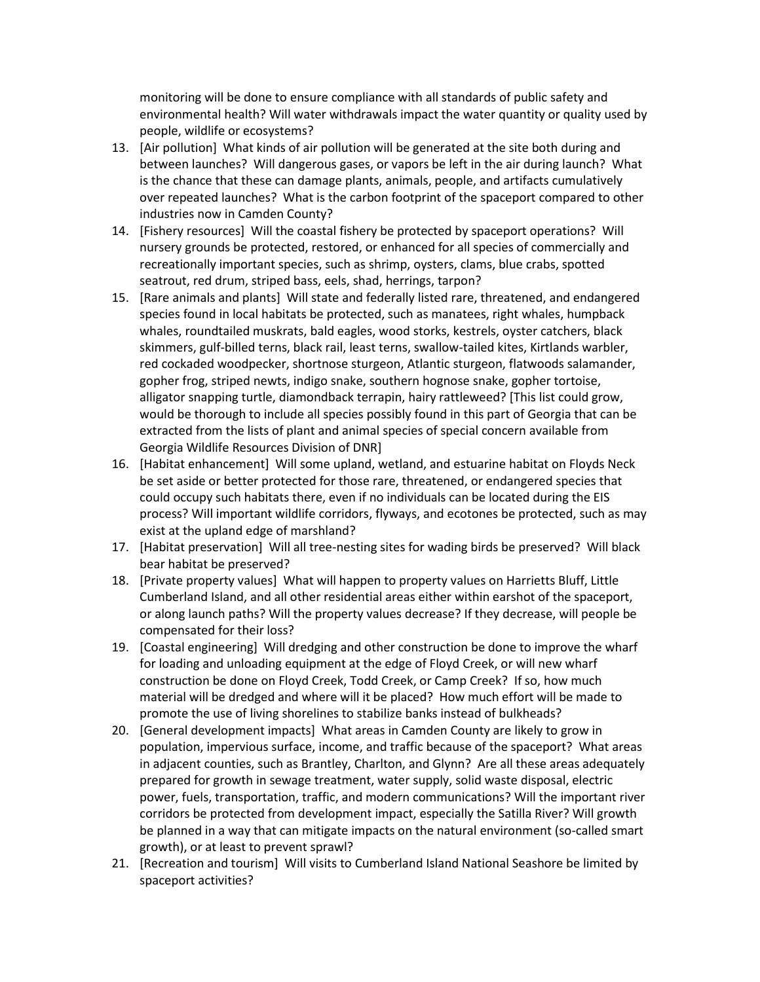monitoring will be done to ensure compliance with all standards of public safety and environmental health? Will water withdrawals impact the water quantity or quality used by people, wildlife or ecosystems?

- 13. [Air pollution] What kinds of air pollution will be generated at the site both during and between launches? Will dangerous gases, or vapors be left in the air during launch? What is the chance that these can damage plants, animals, people, and artifacts cumulatively over repeated launches? What is the carbon footprint of the spaceport compared to other industries now in Camden County?
- 14. [Fishery resources] Will the coastal fishery be protected by spaceport operations? Will nursery grounds be protected, restored, or enhanced for all species of commercially and recreationally important species, such as shrimp, oysters, clams, blue crabs, spotted seatrout, red drum, striped bass, eels, shad, herrings, tarpon?
- 15. [Rare animals and plants] Will state and federally listed rare, threatened, and endangered species found in local habitats be protected, such as manatees, right whales, humpback whales, roundtailed muskrats, bald eagles, wood storks, kestrels, oyster catchers, black skimmers, gulf-billed terns, black rail, least terns, swallow-tailed kites, Kirtlands warbler, red cockaded woodpecker, shortnose sturgeon, Atlantic sturgeon, flatwoods salamander, gopher frog, striped newts, indigo snake, southern hognose snake, gopher tortoise, alligator snapping turtle, diamondback terrapin, hairy rattleweed? [This list could grow, would be thorough to include all species possibly found in this part of Georgia that can be extracted from the lists of plant and animal species of special concern available from Georgia Wildlife Resources Division of DNR]
- 16. [Habitat enhancement] Will some upland, wetland, and estuarine habitat on Floyds Neck be set aside or better protected for those rare, threatened, or endangered species that could occupy such habitats there, even if no individuals can be located during the EIS process? Will important wildlife corridors, flyways, and ecotones be protected, such as may exist at the upland edge of marshland?
- 17. [Habitat preservation] Will all tree-nesting sites for wading birds be preserved? Will black bear habitat be preserved?
- 18. [Private property values] What will happen to property values on Harrietts Bluff, Little Cumberland Island, and all other residential areas either within earshot of the spaceport, or along launch paths? Will the property values decrease? If they decrease, will people be compensated for their loss?
- 19. [Coastal engineering] Will dredging and other construction be done to improve the wharf for loading and unloading equipment at the edge of Floyd Creek, or will new wharf construction be done on Floyd Creek, Todd Creek, or Camp Creek? If so, how much material will be dredged and where will it be placed? How much effort will be made to promote the use of living shorelines to stabilize banks instead of bulkheads?
- 20. [General development impacts] What areas in Camden County are likely to grow in population, impervious surface, income, and traffic because of the spaceport? What areas in adjacent counties, such as Brantley, Charlton, and Glynn? Are all these areas adequately prepared for growth in sewage treatment, water supply, solid waste disposal, electric power, fuels, transportation, traffic, and modern communications? Will the important river corridors be protected from development impact, especially the Satilla River? Will growth be planned in a way that can mitigate impacts on the natural environment (so-called smart growth), or at least to prevent sprawl?
- 21. [Recreation and tourism] Will visits to Cumberland Island National Seashore be limited by spaceport activities?